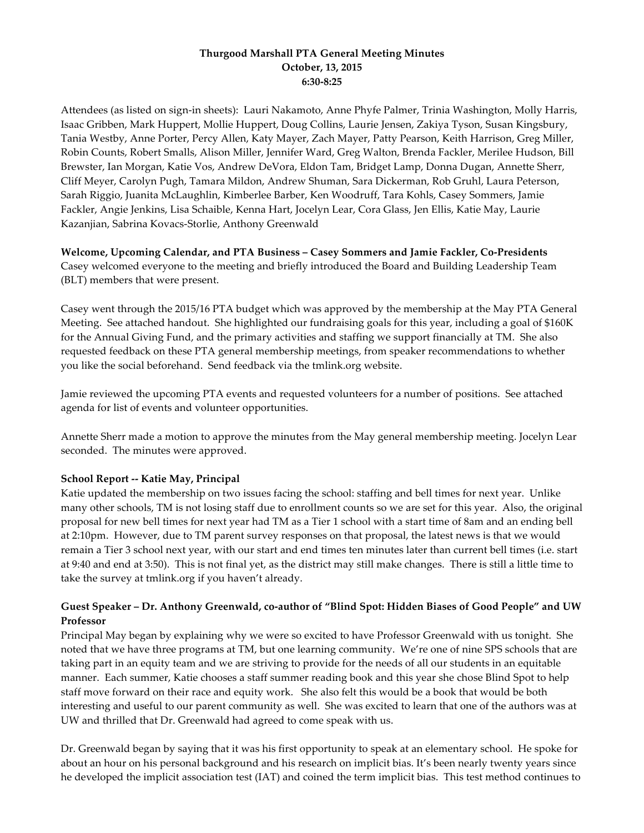## **Thurgood Marshall PTA General Meeting Minutes October, 13, 2015 6:30-8:25**

Attendees (as listed on sign-in sheets): Lauri Nakamoto, Anne Phyfe Palmer, Trinia Washington, Molly Harris, Isaac Gribben, Mark Huppert, Mollie Huppert, Doug Collins, Laurie Jensen, Zakiya Tyson, Susan Kingsbury, Tania Westby, Anne Porter, Percy Allen, Katy Mayer, Zach Mayer, Patty Pearson, Keith Harrison, Greg Miller, Robin Counts, Robert Smalls, Alison Miller, Jennifer Ward, Greg Walton, Brenda Fackler, Merilee Hudson, Bill Brewster, Ian Morgan, Katie Vos, Andrew DeVora, Eldon Tam, Bridget Lamp, Donna Dugan, Annette Sherr, Cliff Meyer, Carolyn Pugh, Tamara Mildon, Andrew Shuman, Sara Dickerman, Rob Gruhl, Laura Peterson, Sarah Riggio, Juanita McLaughlin, Kimberlee Barber, Ken Woodruff, Tara Kohls, Casey Sommers, Jamie Fackler, Angie Jenkins, Lisa Schaible, Kenna Hart, Jocelyn Lear, Cora Glass, Jen Ellis, Katie May, Laurie Kazanjian, Sabrina Kovacs-Storlie, Anthony Greenwald

**Welcome, Upcoming Calendar, and PTA Business – Casey Sommers and Jamie Fackler, Co-Presidents** Casey welcomed everyone to the meeting and briefly introduced the Board and Building Leadership Team (BLT) members that were present.

Casey went through the 2015/16 PTA budget which was approved by the membership at the May PTA General Meeting. See attached handout. She highlighted our fundraising goals for this year, including a goal of \$160K for the Annual Giving Fund, and the primary activities and staffing we support financially at TM. She also requested feedback on these PTA general membership meetings, from speaker recommendations to whether you like the social beforehand. Send feedback via the tmlink.org website.

Jamie reviewed the upcoming PTA events and requested volunteers for a number of positions. See attached agenda for list of events and volunteer opportunities.

Annette Sherr made a motion to approve the minutes from the May general membership meeting. Jocelyn Lear seconded. The minutes were approved.

## **School Report -- Katie May, Principal**

Katie updated the membership on two issues facing the school: staffing and bell times for next year. Unlike many other schools, TM is not losing staff due to enrollment counts so we are set for this year. Also, the original proposal for new bell times for next year had TM as a Tier 1 school with a start time of 8am and an ending bell at 2:10pm. However, due to TM parent survey responses on that proposal, the latest news is that we would remain a Tier 3 school next year, with our start and end times ten minutes later than current bell times (i.e. start at 9:40 and end at 3:50). This is not final yet, as the district may still make changes. There is still a little time to take the survey at tmlink.org if you haven't already.

## **Guest Speaker – Dr. Anthony Greenwald, co-author of "Blind Spot: Hidden Biases of Good People" and UW Professor**

Principal May began by explaining why we were so excited to have Professor Greenwald with us tonight. She noted that we have three programs at TM, but one learning community. We're one of nine SPS schools that are taking part in an equity team and we are striving to provide for the needs of all our students in an equitable manner. Each summer, Katie chooses a staff summer reading book and this year she chose Blind Spot to help staff move forward on their race and equity work. She also felt this would be a book that would be both interesting and useful to our parent community as well. She was excited to learn that one of the authors was at UW and thrilled that Dr. Greenwald had agreed to come speak with us.

Dr. Greenwald began by saying that it was his first opportunity to speak at an elementary school. He spoke for about an hour on his personal background and his research on implicit bias. It's been nearly twenty years since he developed the implicit association test (IAT) and coined the term implicit bias. This test method continues to